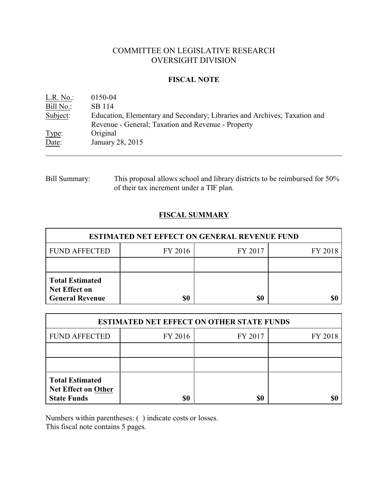# COMMITTEE ON LEGISLATIVE RESEARCH OVERSIGHT DIVISION

### **FISCAL NOTE**

| L.R. No.  | 0150-04                                                                   |
|-----------|---------------------------------------------------------------------------|
| Bill No.: | SB 114                                                                    |
| Subject:  | Education, Elementary and Secondary; Libraries and Archives; Taxation and |
|           | Revenue - General; Taxation and Revenue - Property                        |
| Type:     | Original                                                                  |
| Date:     | January 28, 2015                                                          |

## Bill Summary: This proposal allows school and library districts to be reimbursed for 50% of their tax increment under a TIF plan.

## **FISCAL SUMMARY**

| <b>ESTIMATED NET EFFECT ON GENERAL REVENUE FUND</b>                      |         |         |         |  |
|--------------------------------------------------------------------------|---------|---------|---------|--|
| <b>FUND AFFECTED</b>                                                     | FY 2016 | FY 2017 | FY 2018 |  |
|                                                                          |         |         |         |  |
| <b>Total Estimated</b><br><b>Net Effect on</b><br><b>General Revenue</b> | \$0     | \$0     |         |  |

| <b>ESTIMATED NET EFFECT ON OTHER STATE FUNDS</b>                           |         |         |         |  |
|----------------------------------------------------------------------------|---------|---------|---------|--|
| <b>FUND AFFECTED</b>                                                       | FY 2016 | FY 2017 | FY 2018 |  |
|                                                                            |         |         |         |  |
|                                                                            |         |         |         |  |
| <b>Total Estimated</b><br><b>Net Effect on Other</b><br><b>State Funds</b> | \$0     | \$0     |         |  |

Numbers within parentheses: ( ) indicate costs or losses.

This fiscal note contains 5 pages.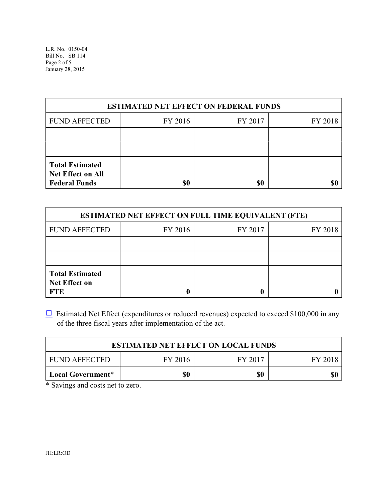| <b>ESTIMATED NET EFFECT ON FEDERAL FUNDS</b>                               |         |         |         |  |
|----------------------------------------------------------------------------|---------|---------|---------|--|
| <b>FUND AFFECTED</b>                                                       | FY 2016 | FY 2017 | FY 2018 |  |
|                                                                            |         |         |         |  |
|                                                                            |         |         |         |  |
| <b>Total Estimated</b><br><b>Net Effect on All</b><br><b>Federal Funds</b> | \$0     | \$0     |         |  |

| <b>ESTIMATED NET EFFECT ON FULL TIME EQUIVALENT (FTE)</b>    |         |         |         |  |
|--------------------------------------------------------------|---------|---------|---------|--|
| <b>FUND AFFECTED</b>                                         | FY 2016 | FY 2017 | FY 2018 |  |
|                                                              |         |         |         |  |
|                                                              |         |         |         |  |
| <b>Total Estimated</b><br><b>Net Effect on</b><br><b>FTE</b> |         |         |         |  |

 $\Box$  Estimated Net Effect (expenditures or reduced revenues) expected to exceed \$100,000 in any of the three fiscal years after implementation of the act.

| <b>ESTIMATED NET EFFECT ON LOCAL FUNDS</b> |         |         |         |
|--------------------------------------------|---------|---------|---------|
| <b>FUND AFFECTED</b>                       | FY 2016 | FY 2017 | FY 2018 |
| Local Government*                          | SO      | \$0     | \$0     |

\* Savings and costs net to zero.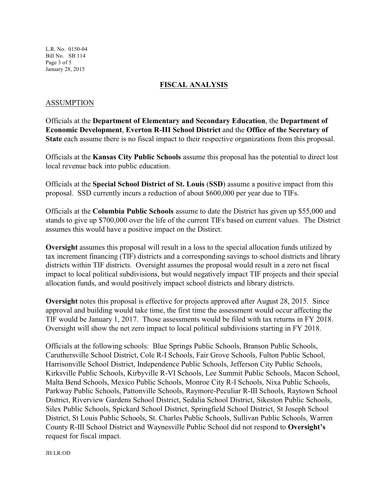L.R. No. 0150-04 Bill No. SB 114 Page 3 of 5 January 28, 2015

### **FISCAL ANALYSIS**

#### ASSUMPTION

Officials at the **Department of Elementary and Secondary Education**, the **Department of Economic Development**, **Everton R-III School District** and the **Office of the Secretary of State** each assume there is no fiscal impact to their respective organizations from this proposal.

Officials at the **Kansas City Public Schools** assume this proposal has the potential to direct lost local revenue back into public education.

Officials at the **Special School District of St. Louis** (**SSD**) assume a positive impact from this proposal. SSD currently incurs a reduction of about \$600,000 per year due to TIFs.

Officials at the **Columbia Public Schools** assume to date the District has given up \$55,000 and stands to give up \$700,000 over the life of the current TIFs based on current values. The District assumes this would have a positive impact on the Distirct.

**Oversight** assumes this proposal will result in a loss to the special allocation funds utilized by tax increment financing (TIF) districts and a corresponding savings to school districts and library districts within TIF districts. Oversight assumes the proposal would result in a zero net fiscal impact to local political subdivisions, but would negatively impact TIF projects and their special allocation funds, and would positively impact school districts and library districts.

**Oversight** notes this proposal is effective for projects approved after August 28, 2015. Since approval and building would take time, the first time the assessment would occur affecting the TIF would be January 1, 2017. Those assessments would be filed with tax returns in FY 2018. Oversight will show the net zero impact to local political subdivisions starting in FY 2018.

Officials at the following schools: Blue Springs Public Schools, Branson Public Schools, Caruthersville School District, Cole R-I Schools, Fair Grove Schools, Fulton Public School, Harrisonville School District, Independence Public Schools, Jefferson City Public Schools, Kirksville Public Schools, Kirbyville R-VI Schools, Lee Summit Public Schools, Macon School, Malta Bend Schools, Mexico Public Schools, Monroe City R-I Schools, Nixa Public Schools, Parkway Public Schools, Pattonville Schools, Raymore-Peculiar R-III Schools, Raytown School District, Riverview Gardens School District, Sedalia School District, Sikeston Public Schools, Silex Public Schools, Spickard School District, Springfield School District, St Joseph School District, St Louis Public Schools, St. Charles Public Schools, Sullivan Public Schools, Warren County R-III School District and Waynesville Public School did not respond to **Oversight's** request for fiscal impact.

JH:LR:OD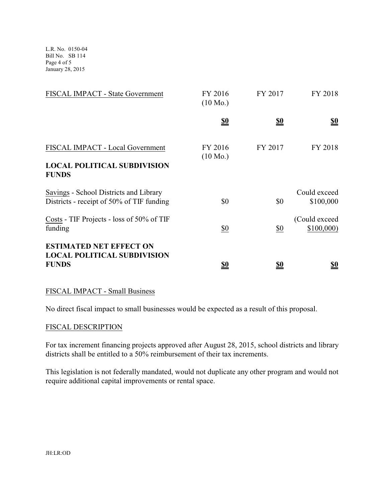L.R. No. 0150-04 Bill No. SB 114 Page 4 of 5 January 28, 2015

| FISCAL IMPACT - State Government                                                       | FY 2016<br>$(10 \text{ Mo.})$ | FY 2017           | FY 2018                       |
|----------------------------------------------------------------------------------------|-------------------------------|-------------------|-------------------------------|
|                                                                                        | <u>\$0</u>                    | <u>\$0</u>        | $\underline{\underline{\$0}}$ |
| FISCAL IMPACT - Local Government<br><b>LOCAL POLITICAL SUBDIVISION</b><br><b>FUNDS</b> | FY 2016<br>$(10 \text{ Mo.})$ | FY 2017           | FY 2018                       |
| Savings - School Districts and Library<br>Districts - receipt of 50% of TIF funding    | \$0                           | \$0               | Could exceed<br>\$100,000     |
| Costs - TIF Projects - loss of 50% of TIF<br>funding                                   | $\underline{\$0}$             | $\underline{\$0}$ | (Could exceed)<br>\$100,000   |
| <b>ESTIMATED NET EFFECT ON</b><br><b>LOCAL POLITICAL SUBDIVISION</b><br><b>FUNDS</b>   | <u>\$0</u>                    | <u>\$0</u>        | <u>so</u>                     |

## FISCAL IMPACT - Small Business

No direct fiscal impact to small businesses would be expected as a result of this proposal.

#### FISCAL DESCRIPTION

For tax increment financing projects approved after August 28, 2015, school districts and library districts shall be entitled to a 50% reimbursement of their tax increments.

This legislation is not federally mandated, would not duplicate any other program and would not require additional capital improvements or rental space.